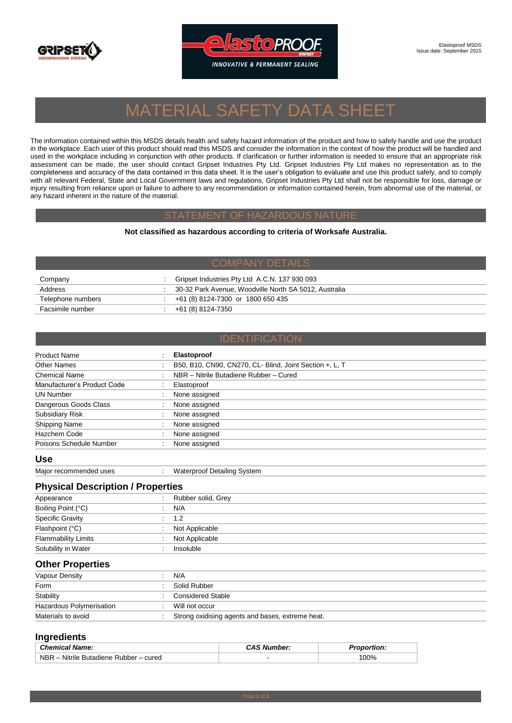



# MATERIAL SAFETY DATA SHEET

The information contained within this MSDS details health and safety hazard information of the product and how to safely handle and use the product in the workplace. Each user of this product should read this MSDS and consider the information in the context of how the product will be handled and used in the workplace including in conjunction with other products. If clarification or further information is needed to ensure that an appropriate risk assessment can be made, the user should contact Gripset Industries Pty Ltd. Gripset Industries Pty Ltd makes no representation as to the completeness and accuracy of the data contained in this data sheet. It is the user's obligation to evaluate and use this product safely, and to comply with all relevant Federal, State and Local Government laws and regulations. Gripset Industries Pty Ltd shall not be responsible for loss, damage or injury resulting from reliance upon or failure to adhere to any recommendation or information contained herein, from abnormal use of the material, or any hazard inherent in the nature of the material.

#### STATEMENT OF HAZARDOUS NATURE

**Not classified as hazardous according to criteria of Worksafe Australia.**

| Company           | Gripset Industries Pty Ltd A.C.N. 137 930 093         |
|-------------------|-------------------------------------------------------|
| Address           | 30-32 Park Avenue, Woodville North SA 5012, Australia |
| Telephone numbers | +61 (8) 8124-7300 or 1800 650 435                     |
| Facsimile number  | +61 (8) 8124-7350                                     |

### IDENTIFICATION

| <b>Product Name</b>         |  | <b>Elastoproof</b>                                      |
|-----------------------------|--|---------------------------------------------------------|
| Other Names                 |  | B50, B10, CN90, CN270, CL- Blind, Joint Section +, L, T |
| Chemical Name               |  | NBR - Nitrile Butadiene Rubber - Cured                  |
| Manufacturer's Product Code |  | Elastoproof                                             |
| <b>UN Number</b>            |  | None assigned                                           |
| Dangerous Goods Class       |  | None assigned                                           |
| <b>Subsidiary Risk</b>      |  | None assigned                                           |
| Shipping Name               |  | None assigned                                           |
| Hazchem Code                |  | None assigned                                           |
| Poisons Schedule Number     |  | None assigned                                           |

**Use**

Major recommended uses : Waterproof Detailing System

## **Physical Description / Properties**

| Appearance                 | Rubber solid, Grey |
|----------------------------|--------------------|
| Boiling Point (°C)         | N/A                |
| Specific Gravity           | $\therefore$ 1.2   |
| Flashpoint (°C)            | Not Applicable     |
| <b>Flammability Limits</b> | Not Applicable     |
| Solubility in Water        | Insoluble          |
|                            |                    |

### **Other Properties**

| Vapour Density           | N/A                                              |
|--------------------------|--------------------------------------------------|
| Form                     | Solid Rubber                                     |
| Stability                | Considered Stable                                |
| Hazardous Polymerisation | Will not occur                                   |
| Materials to avoid       | Strong oxidising agents and bases, extreme heat. |

# **Ingredients**

| <b>Chemical Name:</b>                            | <b>CAS Number:</b> | ີ່ <u>nortion</u> : |
|--------------------------------------------------|--------------------|---------------------|
| <b>NBR</b><br>- Nitrile Butadiene Rubber - cured | -                  | 00%                 |